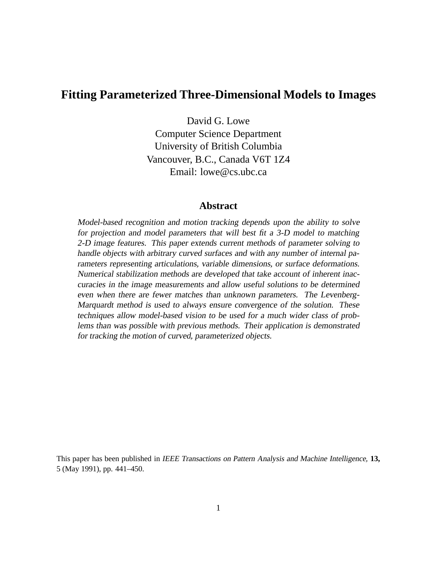### **Fitting Parameterized Three-Dimensional Models to Images**

David G. Lowe Computer Science Department University of British Columbia Vancouver, B.C., Canada V6T 1Z4 Email: lowe@cs.ubc.ca

#### **Abstract**

Model-based recognition and motion tracking depends upon the ability to solve for projection and model parameters that will best fit <sup>a</sup> 3-D model to matching 2-D image features. This paper extends current methods of parameter solving to handle objects with arbitrary curved surfaces and with any number of internal parameters representing articulations, variable dimensions, or surface deformations. Numerical stabilization methods are developed that take account of inherent inaccuracies in the image measurements and allow useful solutions to be determined even when there are fewer matches than unknown parameters. The Levenberg-Marquardt method is used to always ensure convergence of the solution. These techniques allow model-based vision to be used for <sup>a</sup> much wider class of problems than was possible with previous methods. Their application is demonstrated for tracking the motion of curved, parameterized objects.

This paper has been published in IEEE Transactions on Pattern Analysis and Machine Intelligence, **13,** 5 (May 1991), pp. 441–450.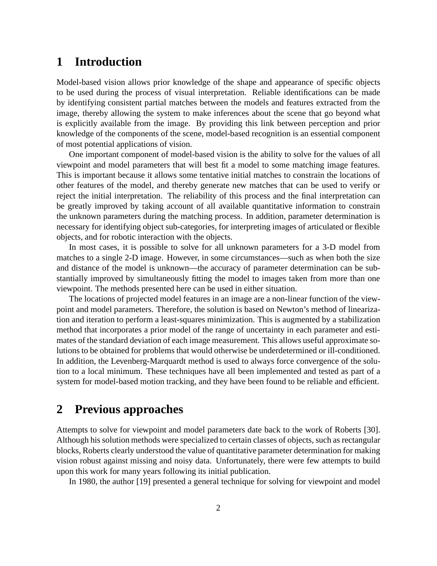### **1 Introduction**

Model-based vision allows prior knowledge of the shape and appearance of specific objects to be used during the process of visual interpretation. Reliable identifications can be made by identifying consistent partial matches between the models and features extracted from the image, thereby allowing the system to make inferences about the scene that go beyond what is explicitly available from the image. By providing this link between perception and prior knowledge of the components of the scene, model-based recognition is an essential component of most potential applications of vision.

One important component of model-based vision is the ability to solve for the values of all viewpoint and model parameters that will best fit a model to some matching image features. This is important because it allows some tentative initial matches to constrain the locations of other features of the model, and thereby generate new matches that can be used to verify or reject the initial interpretation. The reliability of this process and the final interpretation can be greatly improved by taking account of all available quantitative information to constrain the unknown parameters during the matching process. In addition, parameter determination is necessary for identifying object sub-categories, for interpreting images of articulated or flexible objects, and for robotic interaction with the objects.

In most cases, it is possible to solve for all unknown parameters for a 3-D model from matches to a single 2-D image. However, in some circumstances—such as when both the size and distance of the model is unknown—the accuracy of parameter determination can be substantially improved by simultaneously fitting the model to images taken from more than one viewpoint. The methods presented here can be used in either situation.

The locations of projected model features in an image are a non-linear function of the viewpoint and model parameters. Therefore, the solution is based on Newton's method of linearization and iteration to perform a least-squares minimization. This is augmented by a stabilization method that incorporates a prior model of the range of uncertainty in each parameter and estimates of the standard deviation of each image measurement. This allows useful approximate solutions to be obtained for problems that would otherwise be underdetermined or ill-conditioned. In addition, the Levenberg-Marquardt method is used to always force convergence of the solution to a local minimum. These techniques have all been implemented and tested as part of a system for model-based motion tracking, and they have been found to be reliable and efficient.

### **2 Previous approaches**

Attempts to solve for viewpoint and model parameters date back to the work of Roberts [30]. Although his solution methods were specialized to certain classes of objects, such as rectangular blocks, Roberts clearly understood the value of quantitative parameter determination for making vision robust against missing and noisy data. Unfortunately, there were few attempts to build upon this work for many years following its initial publication.

In 1980, the author [19] presented a general technique for solving for viewpoint and model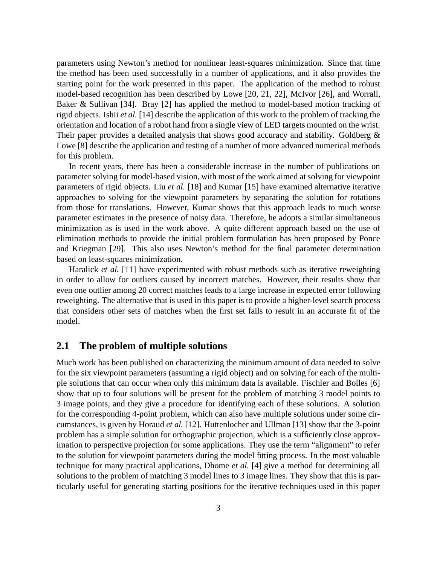parameters using Newton's method for nonlinear least-squares minimization. Since that time the method has been used successfully in a number of applications, and it also provides the starting point for the work presented in this paper. The application of the method to robust model-based recognition has been described by Lowe [20, 21, 22], McIvor [26], and Worrall, Baker & Sullivan [34]. Bray [2] has applied the method to model-based motion tracking of rigid objects. Ishii *et al.* [14] describe the application of this work to the problem of tracking the orientation and location of a robot hand from a single view of LED targets mounted on the wrist. Their paper provides a detailed analysis that shows good accuracy and stability. Goldberg & Lowe [8] describe the application and testing of a number of more advanced numerical methods for this problem.

In recent years, there has been a considerable increase in the number of publications on parameter solving for model-based vision, with most of the work aimed at solving for viewpoint parameters of rigid objects. Liu *et al.* [18] and Kumar [15] have examined alternative iterative approaches to solving for the viewpoint parameters by separating the solution for rotations from those for translations. However, Kumar shows that this approach leads to much worse parameter estimates in the presence of noisy data. Therefore, he adopts a similar simultaneous minimization as is used in the work above. A quite different approach based on the use of elimination methods to provide the initial problem formulation has been proposed by Ponce and Kriegman [29]. This also uses Newton's method for the final parameter determination based on least-squares minimization.

Haralick *et al.* [11] have experimented with robust methods such as iterative reweighting in order to allow for outliers caused by incorrect matches. However, their results show that even one outlier among 20 correct matches leads to a large increase in expected error following reweighting. The alternative that is used in this paper is to provide a higher-level search process that considers other sets of matches when the first set fails to result in an accurate fit of the model.

#### **2.1 The problem of multiple solutions**

Much work has been published on characterizing the minimum amount of data needed to solve for the six viewpoint parameters (assuming a rigid object) and on solving for each of the multiple solutions that can occur when only this minimum data is available. Fischler and Bolles [6] show that up to four solutions will be present for the problem of matching 3 model points to 3 image points, and they give a procedure for identifying each of these solutions. A solution for the corresponding 4-point problem, which can also have multiple solutions under some circumstances, is given by Horaud *et al.* [12]. Huttenlocher and Ullman [13] show that the 3-point problem has a simple solution for orthographic projection, which is a sufficiently close approximation to perspective projection for some applications. They use the term "alignment" to refer to the solution for viewpoint parameters during the model fitting process. In the most valuable technique for many practical applications, Dhome *et al.* [4] give a method for determining all solutions to the problem of matching 3 model lines to 3 image lines. They show that this is particularly useful for generating starting positions for the iterative techniques used in this paper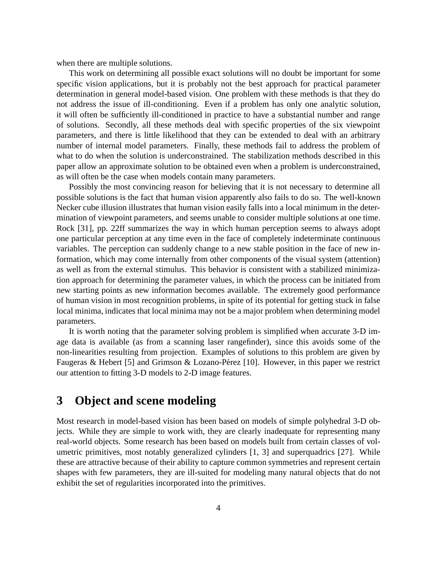when there are multiple solutions.

This work on determining all possible exact solutions will no doubt be important for some specific vision applications, but it is probably not the best approach for practical parameter determination in general model-based vision. One problem with these methods is that they do not address the issue of ill-conditioning. Even if a problem has only one analytic solution, it will often be sufficiently ill-conditioned in practice to have a substantial number and range of solutions. Secondly, all these methods deal with specific properties of the six viewpoint parameters, and there is little likelihood that they can be extended to deal with an arbitrary number of internal model parameters. Finally, these methods fail to address the problem of what to do when the solution is underconstrained. The stabilization methods described in this paper allow an approximate solution to be obtained even when a problem is underconstrained, as will often be the case when models contain many parameters.

Possibly the most convincing reason for believing that it is not necessary to determine all possible solutions is the fact that human vision apparently also fails to do so. The well-known Necker cube illusion illustrates that human vision easily falls into a local minimum in the determination of viewpoint parameters, and seems unable to consider multiple solutions at one time. Rock [31], pp. 22ff summarizes the way in which human perception seems to always adopt one particular perception at any time even in the face of completely indeterminate continuous variables. The perception can suddenly change to a new stable position in the face of new information, which may come internally from other components of the visual system (attention) as well as from the external stimulus. This behavior is consistent with a stabilized minimization approach for determining the parameter values, in which the process can be initiated from new starting points as new information becomes available. The extremely good performance of human vision in most recognition problems, in spite of its potential for getting stuck in false local minima, indicates that local minima may not be a major problem when determining model parameters.

It is worth noting that the parameter solving problem is simplified when accurate 3-D image data is available (as from a scanning laser rangefinder), since this avoids some of the non-linearities resulting from projection. Examples of solutions to this problem are given by Faugeras & Hebert [5] and Grimson & Lozano-Pérez [10]. However, in this paper we restrict our attention to fitting 3-D models to 2-D image features.

# **3 Object and scene modeling**

Most research in model-based vision has been based on models of simple polyhedral 3-D objects. While they are simple to work with, they are clearly inadequate for representing many real-world objects. Some research has been based on models built from certain classes of volumetric primitives, most notably generalized cylinders [1, 3] and superquadrics [27]. While these are attractive because of their ability to capture common symmetries and represent certain shapes with few parameters, they are ill-suited for modeling many natural objects that do not exhibit the set of regularities incorporated into the primitives.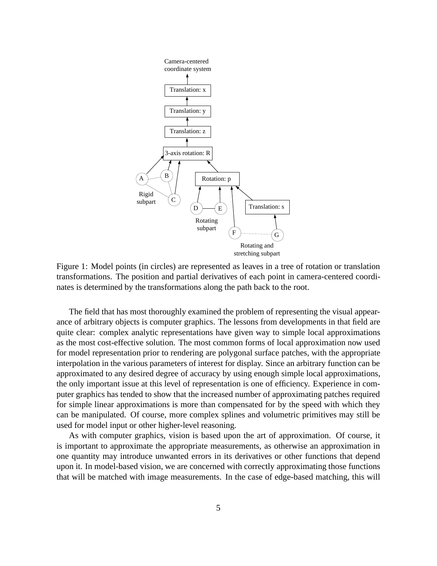

Figure 1: Model points (in circles) are represented as leaves in a tree of rotation or translation transformations. The position and partial derivatives of each point in camera-centered coordinates is determined by the transformations along the path back to the root.

The field that has most thoroughly examined the problem of representing the visual appearance of arbitrary objects is computer graphics. The lessons from developments in that field are quite clear: complex analytic representations have given way to simple local approximations as the most cost-effective solution. The most common forms of local approximation now used for model representation prior to rendering are polygonal surface patches, with the appropriate interpolation in the various parameters of interest for display. Since an arbitrary function can be approximated to any desired degree of accuracy by using enough simple local approximations, the only important issue at this level of representation is one of efficiency. Experience in computer graphics has tended to show that the increased number of approximating patches required for simple linear approximations is more than compensated for by the speed with which they can be manipulated. Of course, more complex splines and volumetric primitives may still be used for model input or other higher-level reasoning.

As with computer graphics, vision is based upon the art of approximation. Of course, it is important to approximate the appropriate measurements, as otherwise an approximation in one quantity may introduce unwanted errors in its derivatives or other functions that depend upon it. In model-based vision, we are concerned with correctly approximating those functions that will be matched with image measurements. In the case of edge-based matching, this will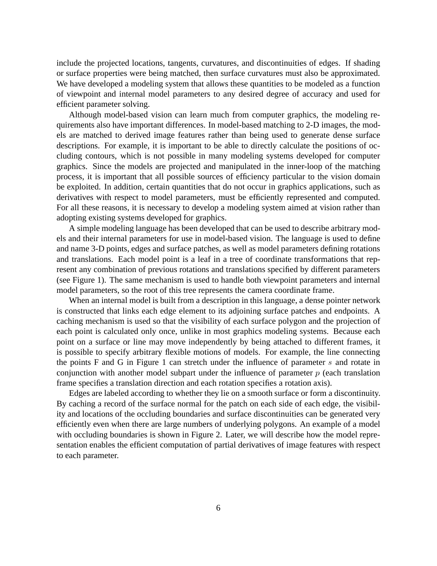include the projected locations, tangents, curvatures, and discontinuities of edges. If shading or surface properties were being matched, then surface curvatures must also be approximated. We have developed a modeling system that allows these quantities to be modeled as a function of viewpoint and internal model parameters to any desired degree of accuracy and used for efficient parameter solving.

Although model-based vision can learn much from computer graphics, the modeling requirements also have important differences. In model-based matching to 2-D images, the models are matched to derived image features rather than being used to generate dense surface descriptions. For example, it is important to be able to directly calculate the positions of occluding contours, which is not possible in many modeling systems developed for computer graphics. Since the models are projected and manipulated in the inner-loop of the matching process, it is important that all possible sources of efficiency particular to the vision domain be exploited. In addition, certain quantities that do not occur in graphics applications, such as derivatives with respect to model parameters, must be efficiently represented and computed. For all these reasons, it is necessary to develop a modeling system aimed at vision rather than adopting existing systems developed for graphics.

A simple modeling language has been developed that can be used to describe arbitrary models and their internal parameters for use in model-based vision. The language is used to define and name 3-D points, edges and surface patches, as well as model parameters defining rotations and translations. Each model point is a leaf in a tree of coordinate transformations that represent any combination of previous rotations and translations specified by different parameters (see Figure 1). The same mechanism is used to handle both viewpoint parameters and internal model parameters, so the root of this tree represents the camera coordinate frame.

When an internal model is built from a description in this language, a dense pointer network is constructed that links each edge element to its adjoining surface patches and endpoints. A caching mechanism is used so that the visibility of each surface polygon and the projection of each point is calculated only once, unlike in most graphics modeling systems. Because each point on a surface or line may move independently by being attached to different frames, it is possible to specify arbitrary flexible motions of models. For example, the line connecting the points F and G in Figure 1 can stretch under the influence of parameter <sup>s</sup> and rotate in conjunction with another model subpart under the influence of parameter  $p$  (each translation frame specifies a translation direction and each rotation specifies a rotation axis).

Edges are labeled according to whether they lie on a smooth surface or form a discontinuity. By caching a record of the surface normal for the patch on each side of each edge, the visibility and locations of the occluding boundaries and surface discontinuities can be generated very efficiently even when there are large numbers of underlying polygons. An example of a model with occluding boundaries is shown in Figure 2. Later, we will describe how the model representation enables the efficient computation of partial derivatives of image features with respect to each parameter.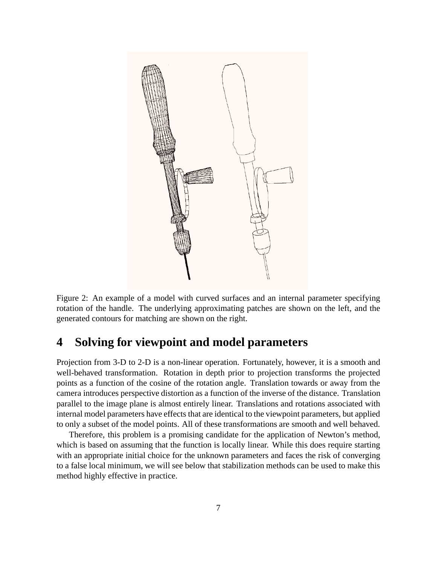

Figure 2: An example of a model with curved surfaces and an internal parameter specifying rotation of the handle. The underlying approximating patches are shown on the left, and the generated contours for matching are shown on the right.

## **4 Solving for viewpoint and model parameters**

Projection from 3-D to 2-D is a non-linear operation. Fortunately, however, it is a smooth and well-behaved transformation. Rotation in depth prior to projection transforms the projected points as a function of the cosine of the rotation angle. Translation towards or away from the camera introduces perspective distortion as a function of the inverse of the distance. Translation parallel to the image plane is almost entirely linear. Translations and rotations associated with internal model parameters have effects that are identical to the viewpoint parameters, but applied to only a subset of the model points. All of these transformations are smooth and well behaved.

Therefore, this problem is a promising candidate for the application of Newton's method, which is based on assuming that the function is locally linear. While this does require starting with an appropriate initial choice for the unknown parameters and faces the risk of converging to a false local minimum, we will see below that stabilization methods can be used to make this method highly effective in practice.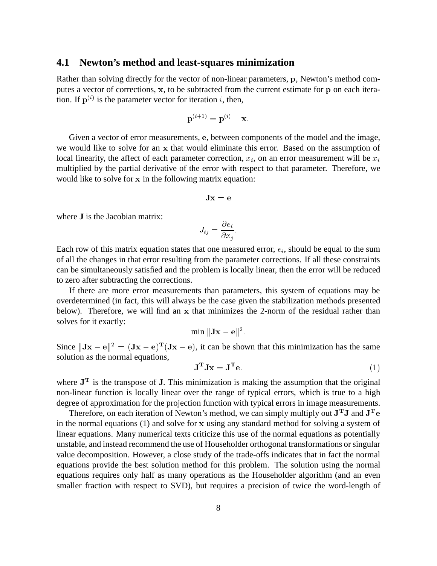#### **4.1 Newton's method and least-squares minimization**

Rather than solving directly for the vector of non-linear parameters, <sup>p</sup>, Newton's method computes a vector of corrections, <sup>x</sup>, to be subtracted from the current estimate for <sup>p</sup> on each iteration. If  $p^{(i)}$  is the parameter vector for iteration i, then,

$$
\mathbf{p}^{(i+1)} = \mathbf{p}^{(i)} - \mathbf{x}.
$$

Given a vector of error measurements, <sup>e</sup>, between components of the model and the image, we would like to solve for an <sup>x</sup> that would eliminate this error. Based on the assumption of local linearity, the affect of each parameter correction,  $x_i$ , on an error measurement will be  $x_i$ multiplied by the partial derivative of the error with respect to that parameter. Therefore, we would like to solve for <sup>x</sup> in the following matrix equation:

$$
\mathbf{Jx} = \mathbf{e}
$$

where **J** is the Jacobian matrix:

$$
J_{ij}=\frac{\partial e_i}{\partial x_j}.
$$

Each row of this matrix equation states that one measured error,  $e_i$ , should be equal to the sum of all the changes in that error resulting from the parameter corrections. If all these constraints can be simultaneously satisfied and the problem is locally linear, then the error will be reduced to zero after subtracting the corrections.

If there are more error measurements than parameters, this system of equations may be overdetermined (in fact, this will always be the case given the stabilization methods presented below). Therefore, we will find an <sup>x</sup> that minimizes the 2-norm of the residual rather than solves for it exactly:

$$
\min \| \mathbf{Jx} - \mathbf{e} \|^2.
$$

Since  $\|\mathbf{Jx} - \mathbf{e}\|^2 = (\mathbf{Jx} - \mathbf{e})^T(\mathbf{Jx} - \mathbf{e})$ , it can be shown that this minimization has the same solution as the normal equations,

$$
\mathbf{J}^{\mathbf{T}} \mathbf{J} \mathbf{x} = \mathbf{J}^{\mathbf{T}} \mathbf{e}.\tag{1}
$$

where  $J<sup>T</sup>$  is the transpose of  $J$ . This minimization is making the assumption that the original non-linear function is locally linear over the range of typical errors, which is true to a high degree of approximation for the projection function with typical errors in image measurements.

Therefore, on each iteration of Newton's method, we can simply multiply out  $J^TJ$  and  $J^Te$ in the normal equations (1) and solve for <sup>x</sup> using any standard method for solving a system of linear equations. Many numerical texts criticize this use of the normal equations as potentially unstable, and instead recommend the use of Householder orthogonal transformations or singular value decomposition. However, a close study of the trade-offs indicates that in fact the normal equations provide the best solution method for this problem. The solution using the normal equations requires only half as many operations as the Householder algorithm (and an even smaller fraction with respect to SVD), but requires a precision of twice the word-length of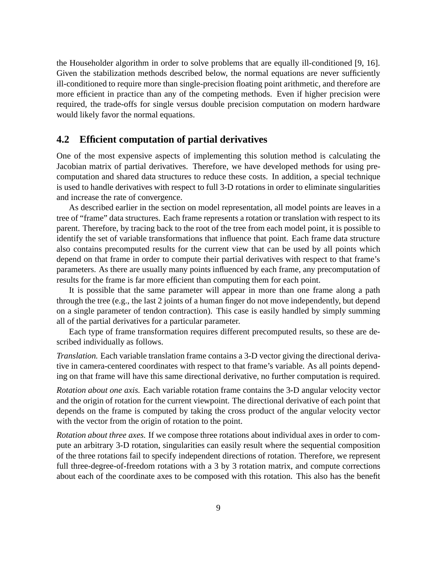the Householder algorithm in order to solve problems that are equally ill-conditioned [9, 16]. Given the stabilization methods described below, the normal equations are never sufficiently ill-conditioned to require more than single-precision floating point arithmetic, and therefore are more efficient in practice than any of the competing methods. Even if higher precision were required, the trade-offs for single versus double precision computation on modern hardware would likely favor the normal equations.

### **4.2 Efficient computation of partial derivatives**

One of the most expensive aspects of implementing this solution method is calculating the Jacobian matrix of partial derivatives. Therefore, we have developed methods for using precomputation and shared data structures to reduce these costs. In addition, a special technique is used to handle derivatives with respect to full 3-D rotations in order to eliminate singularities and increase the rate of convergence.

As described earlier in the section on model representation, all model points are leaves in a tree of "frame" data structures. Each frame represents a rotation or translation with respect to its parent. Therefore, by tracing back to the root of the tree from each model point, it is possible to identify the set of variable transformations that influence that point. Each frame data structure also contains precomputed results for the current view that can be used by all points which depend on that frame in order to compute their partial derivatives with respect to that frame's parameters. As there are usually many points influenced by each frame, any precomputation of results for the frame is far more efficient than computing them for each point.

It is possible that the same parameter will appear in more than one frame along a path through the tree (e.g., the last 2 joints of a human finger do not move independently, but depend on a single parameter of tendon contraction). This case is easily handled by simply summing all of the partial derivatives for a particular parameter.

Each type of frame transformation requires different precomputed results, so these are described individually as follows.

*Translation.* Each variable translation frame contains a 3-D vector giving the directional derivative in camera-centered coordinates with respect to that frame's variable. As all points depending on that frame will have this same directional derivative, no further computation is required.

*Rotation about one axis.* Each variable rotation frame contains the 3-D angular velocity vector and the origin of rotation for the current viewpoint. The directional derivative of each point that depends on the frame is computed by taking the cross product of the angular velocity vector with the vector from the origin of rotation to the point.

*Rotation about three axes.* If we compose three rotations about individual axes in order to compute an arbitrary 3-D rotation, singularities can easily result where the sequential composition of the three rotations fail to specify independent directions of rotation. Therefore, we represent full three-degree-of-freedom rotations with a 3 by 3 rotation matrix, and compute corrections about each of the coordinate axes to be composed with this rotation. This also has the benefit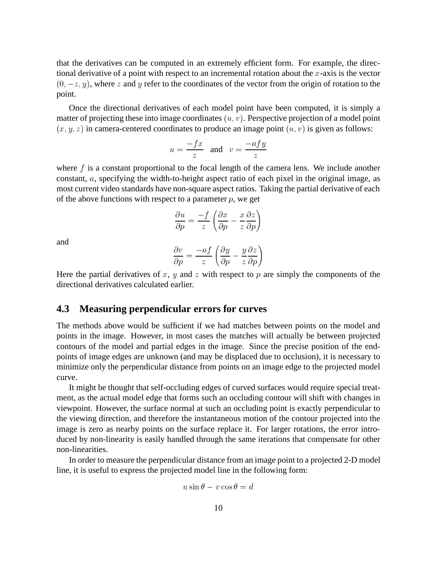that the derivatives can be computed in an extremely efficient form. For example, the directional derivative of a point with respect to an incremental rotation about the  $x$ -axis is the vector  $(0, -z, y)$ , where z and y refer to the coordinates of the vector from the origin of rotation to the point.

Once the directional derivatives of each model point have been computed, it is simply a matter of projecting these into image coordinates  $(u, v)$ . Perspective projection of a model point  $(x, y, z)$  in camera-centered coordinates to produce an image point  $(u, v)$  is given as follows:

$$
u = \frac{-fx}{z}
$$
 and  $v = \frac{-afy}{z}$ 

where  $f$  is a constant proportional to the focal length of the camera lens. We include another constant, <sup>a</sup>, specifying the width-to-height aspect ratio of each pixel in the original image, as most current video standards have non-square aspect ratios. Taking the partial derivative of each of the above functions with respect to a parameter  $p$ , we get

$$
\frac{\partial u}{\partial p} = \frac{-f}{z} \left( \frac{\partial x}{\partial p} - \frac{x}{z} \frac{\partial z}{\partial p} \right)
$$

and

$$
\frac{\partial v}{\partial p} = \frac{-af}{z} \left( \frac{\partial y}{\partial p} - \frac{y}{z} \frac{\partial z}{\partial p} \right)
$$

Here the partial derivatives of x, y and z with respect to p are simply the components of the directional derivatives calculated earlier.

#### **4.3 Measuring perpendicular errors for curves**

The methods above would be sufficient if we had matches between points on the model and points in the image. However, in most cases the matches will actually be between projected contours of the model and partial edges in the image. Since the precise position of the endpoints of image edges are unknown (and may be displaced due to occlusion), it is necessary to minimize only the perpendicular distance from points on an image edge to the projected model curve.

It might be thought that self-occluding edges of curved surfaces would require special treatment, as the actual model edge that forms such an occluding contour will shift with changes in viewpoint. However, the surface normal at such an occluding point is exactly perpendicular to the viewing direction, and therefore the instantaneous motion of the contour projected into the image is zero as nearby points on the surface replace it. For larger rotations, the error introduced by non-linearity is easily handled through the same iterations that compensate for other non-linearities.

In order to measure the perpendicular distance from an image point to a projected 2-D model line, it is useful to express the projected model line in the following form:

$$
u\sin\theta - v\cos\theta = d
$$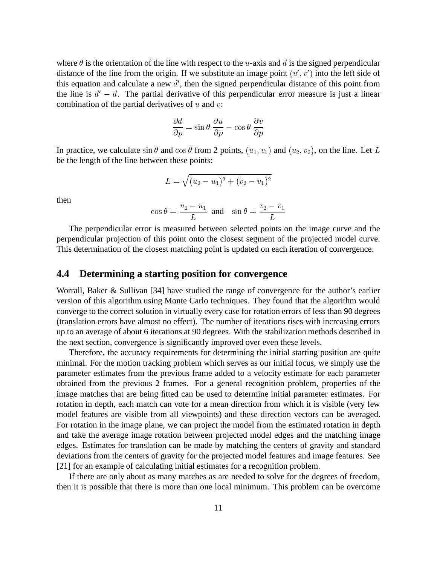where  $\theta$  is the orientation of the line with respect to the u-axis and d is the signed perpendicular distance of the line from the origin. If we substitute an image point  $(u', v')$  into the left side of this equation and calculate a new  $d'$ , then the signed perpendicular distance of this point from the line is  $d' - d$ . The partial derivative of this perpendicular error measure is just a linear combination of the partial derivatives of  $u$  and  $v$ :

$$
\frac{\partial d}{\partial p} = \sin \theta \; \frac{\partial u}{\partial p} - \cos \theta \; \frac{\partial v}{\partial p}
$$

In practice, we calculate  $\sin \theta$  and  $\cos \theta$  from 2 points,  $(u_1, v_1)$  and  $(u_2, v_2)$ , on the line. Let L be the length of the line between these points:

$$
L = \sqrt{(u_2 - u_1)^2 + (v_2 - v_1)^2}
$$

then

$$
\cos \theta = \frac{u_2 - u_1}{L} \text{ and } \sin \theta = \frac{v_2 - v_1}{L}
$$

The perpendicular error is measured between selected points on the image curve and the perpendicular projection of this point onto the closest segment of the projected model curve. This determination of the closest matching point is updated on each iteration of convergence.

#### **4.4 Determining a starting position for convergence**

Worrall, Baker & Sullivan [34] have studied the range of convergence for the author's earlier version of this algorithm using Monte Carlo techniques. They found that the algorithm would converge to the correct solution in virtually every case for rotation errors of less than 90 degrees (translation errors have almost no effect). The number of iterations rises with increasing errors up to an average of about 6 iterations at 90 degrees. With the stabilization methods described in the next section, convergence is significantly improved over even these levels.

Therefore, the accuracy requirements for determining the initial starting position are quite minimal. For the motion tracking problem which serves as our initial focus, we simply use the parameter estimates from the previous frame added to a velocity estimate for each parameter obtained from the previous 2 frames. For a general recognition problem, properties of the image matches that are being fitted can be used to determine initial parameter estimates. For rotation in depth, each match can vote for a mean direction from which it is visible (very few model features are visible from all viewpoints) and these direction vectors can be averaged. For rotation in the image plane, we can project the model from the estimated rotation in depth and take the average image rotation between projected model edges and the matching image edges. Estimates for translation can be made by matching the centers of gravity and standard deviations from the centers of gravity for the projected model features and image features. See [21] for an example of calculating initial estimates for a recognition problem.

If there are only about as many matches as are needed to solve for the degrees of freedom, then it is possible that there is more than one local minimum. This problem can be overcome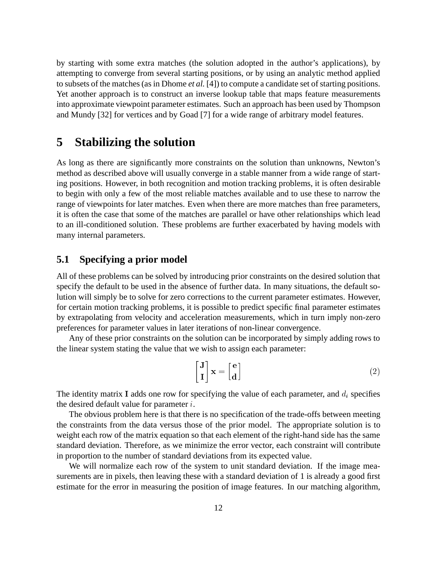by starting with some extra matches (the solution adopted in the author's applications), by attempting to converge from several starting positions, or by using an analytic method applied to subsets of the matches (as in Dhome *et al.* [4]) to compute a candidate set of starting positions. Yet another approach is to construct an inverse lookup table that maps feature measurements into approximate viewpoint parameter estimates. Such an approach has been used by Thompson and Mundy [32] for vertices and by Goad [7] for a wide range of arbitrary model features.

## **5 Stabilizing the solution**

As long as there are significantly more constraints on the solution than unknowns, Newton's method as described above will usually converge in a stable manner from a wide range of starting positions. However, in both recognition and motion tracking problems, it is often desirable to begin with only a few of the most reliable matches available and to use these to narrow the range of viewpoints for later matches. Even when there are more matches than free parameters, it is often the case that some of the matches are parallel or have other relationships which lead to an ill-conditioned solution. These problems are further exacerbated by having models with many internal parameters.

#### **5.1 Specifying a prior model**

All of these problems can be solved by introducing prior constraints on the desired solution that specify the default to be used in the absence of further data. In many situations, the default solution will simply be to solve for zero corrections to the current parameter estimates. However, for certain motion tracking problems, it is possible to predict specific final parameter estimates by extrapolating from velocity and acceleration measurements, which in turn imply non-zero preferences for parameter values in later iterations of non-linear convergence.

Any of these prior constraints on the solution can be incorporated by simply adding rows to the linear system stating the value that we wish to assign each parameter:

$$
\begin{bmatrix} \mathbf{J} \\ \mathbf{I} \end{bmatrix} \mathbf{x} = \begin{bmatrix} \mathbf{e} \\ \mathbf{d} \end{bmatrix} \tag{2}
$$

The identity matrix I adds one row for specifying the value of each parameter, and  $d_i$  specifies the desired default value for parameter  $i$ .

The obvious problem here is that there is no specification of the trade-offs between meeting the constraints from the data versus those of the prior model. The appropriate solution is to weight each row of the matrix equation so that each element of the right-hand side has the same standard deviation. Therefore, as we minimize the error vector, each constraint will contribute in proportion to the number of standard deviations from its expected value.

We will normalize each row of the system to unit standard deviation. If the image measurements are in pixels, then leaving these with a standard deviation of 1 is already a good first estimate for the error in measuring the position of image features. In our matching algorithm,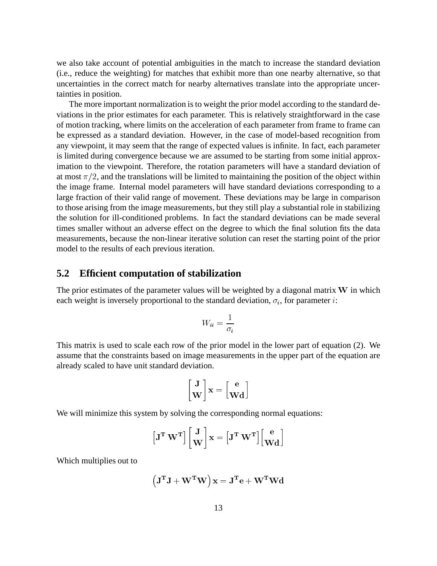we also take account of potential ambiguities in the match to increase the standard deviation (i.e., reduce the weighting) for matches that exhibit more than one nearby alternative, so that uncertainties in the correct match for nearby alternatives translate into the appropriate uncertainties in position.

The more important normalization is to weight the prior model according to the standard deviations in the prior estimates for each parameter. This is relatively straightforward in the case of motion tracking, where limits on the acceleration of each parameter from frame to frame can be expressed as a standard deviation. However, in the case of model-based recognition from any viewpoint, it may seem that the range of expected values is infinite. In fact, each parameter is limited during convergence because we are assumed to be starting from some initial approximation to the viewpoint. Therefore, the rotation parameters will have a standard deviation of at most  $\pi/2$ , and the translations will be limited to maintaining the position of the object within the image frame. Internal model parameters will have standard deviations corresponding to a large fraction of their valid range of movement. These deviations may be large in comparison to those arising from the image measurements, but they still play a substantial role in stabilizing the solution for ill-conditioned problems. In fact the standard deviations can be made several times smaller without an adverse effect on the degree to which the final solution fits the data measurements, because the non-linear iterative solution can reset the starting point of the prior model to the results of each previous iteration.

#### **5.2 Efficient computation of stabilization**

The prior estimates of the parameter values will be weighted by a diagonal matrix W in which each weight is inversely proportional to the standard deviation,  $\sigma_i$ , for parameter i:

$$
W_{ii}=\frac{1}{\sigma_i}
$$

This matrix is used to scale each row of the prior model in the lower part of equation (2). We assume that the constraints based on image measurements in the upper part of the equation are already scaled to have unit standard deviation.

$$
\begin{bmatrix} \mathbf{J} \\ \mathbf{W} \end{bmatrix} \mathbf{x} = \begin{bmatrix} \mathbf{e} \\ \mathbf{W} \mathbf{d} \end{bmatrix}
$$

We will minimize this system by solving the corresponding normal equations:

$$
\left[ \mathbf{J}^{\mathbf{T}} \ \mathbf{W}^{\mathbf{T}} \right] \left[ \begin{matrix} \mathbf{J} \\ \mathbf{W} \end{matrix} \right] \mathbf{x} = \left[ \mathbf{J}^{\mathbf{T}} \ \mathbf{W}^{\mathbf{T}} \right] \left[ \begin{matrix} \mathbf{e} \\ \mathbf{W} \mathbf{d} \end{matrix} \right]
$$

Which multiplies out to

$$
\left(\mathbf{J^TJ+W^TW}\right)\mathbf{x}=\mathbf{J^Te}+\mathbf{W^TWd}
$$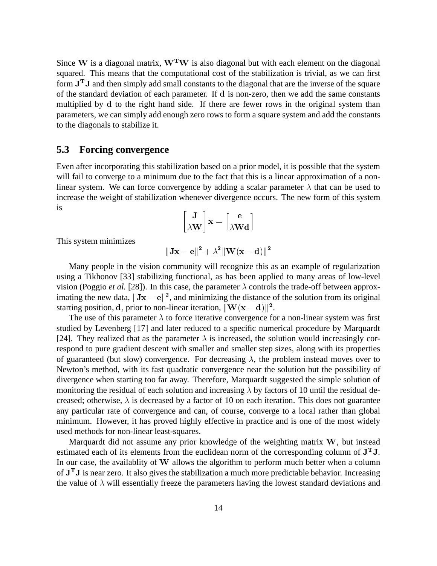Since W is a diagonal matrix,  $W<sup>T</sup>W$  is also diagonal but with each element on the diagonal squared. This means that the computational cost of the stabilization is trivial, as we can first form  $J<sup>T</sup>J$  and then simply add small constants to the diagonal that are the inverse of the square of the standard deviation of each parameter. If <sup>d</sup> is non-zero, then we add the same constants multiplied by <sup>d</sup> to the right hand side. If there are fewer rows in the original system than parameters, we can simply add enough zero rows to form a square system and add the constants to the diagonals to stabilize it.

#### **5.3 Forcing convergence**

Even after incorporating this stabilization based on a prior model, it is possible that the system will fail to converge to a minimum due to the fact that this is a linear approximation of a nonlinear system. We can force convergence by adding a scalar parameter  $\lambda$  that can be used to increase the weight of stabilization whenever divergence occurs. The new form of this system is

$$
\begin{bmatrix} \mathbf{J} \\ \lambda \mathbf{W} \end{bmatrix} \mathbf{x} = \begin{bmatrix} \mathbf{e} \\ \lambda \mathbf{W} \mathbf{d} \end{bmatrix}
$$

This system minimizes

$$
\|\mathbf J\mathbf x-\mathbf e\|^2+\lambda^2\|\mathbf W(\mathbf x-\mathbf d)\|^2
$$

Many people in the vision community will recognize this as an example of regularization using a Tikhonov [33] stabilizing functional, as has been applied to many areas of low-level vision (Poggio *et al.* [28]). In this case, the parameter  $\lambda$  controls the trade-off between approximating the new data,  $\|\mathbf{Jx} - \mathbf{e}\|^2$ , and minimizing the distance of the solution from its original starting position, d, prior to non-linear iteration,  $\|\mathbf{W}(\mathbf{x}-\mathbf{d})\|^2$ .

The use of this parameter  $\lambda$  to force iterative convergence for a non-linear system was first studied by Levenberg [17] and later reduced to a specific numerical procedure by Marquardt [24]. They realized that as the parameter  $\lambda$  is increased, the solution would increasingly correspond to pure gradient descent with smaller and smaller step sizes, along with its properties of guaranteed (but slow) convergence. For decreasing  $\lambda$ , the problem instead moves over to Newton's method, with its fast quadratic convergence near the solution but the possibility of divergence when starting too far away. Therefore, Marquardt suggested the simple solution of monitoring the residual of each solution and increasing  $\lambda$  by factors of 10 until the residual decreased; otherwise,  $\lambda$  is decreased by a factor of 10 on each iteration. This does not guarantee any particular rate of convergence and can, of course, converge to a local rather than global minimum. However, it has proved highly effective in practice and is one of the most widely used methods for non-linear least-squares.

Marquardt did not assume any prior knowledge of the weighting matrix <sup>W</sup>, but instead estimated each of its elements from the euclidean norm of the corresponding column of  $J<sup>T</sup>J$ . In our case, the availablity of <sup>W</sup> allows the algorithm to perform much better when a column of  $J<sup>T</sup>J$  is near zero. It also gives the stabilization a much more predictable behavior. Increasing the value of  $\lambda$  will essentially freeze the parameters having the lowest standard deviations and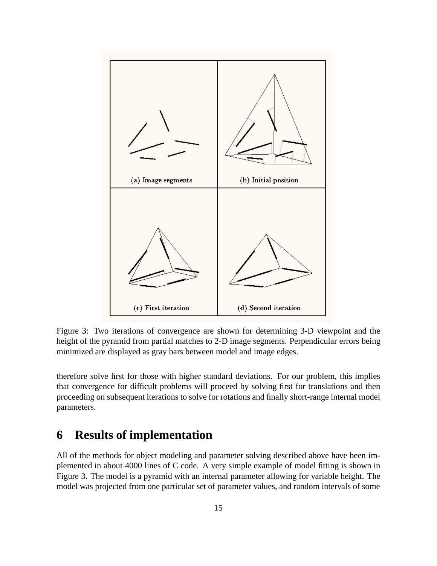

Figure 3: Two iterations of convergence are shown for determining 3-D viewpoint and the height of the pyramid from partial matches to 2-D image segments. Perpendicular errors being minimized are displayed as gray bars between model and image edges.

therefore solve first for those with higher standard deviations. For our problem, this implies that convergence for difficult problems will proceed by solving first for translations and then proceeding on subsequent iterations to solve for rotations and finally short-range internal model parameters.

## **6 Results of implementation**

All of the methods for object modeling and parameter solving described above have been implemented in about 4000 lines of C code. A very simple example of model fitting is shown in Figure 3. The model is a pyramid with an internal parameter allowing for variable height. The model was projected from one particular set of parameter values, and random intervals of some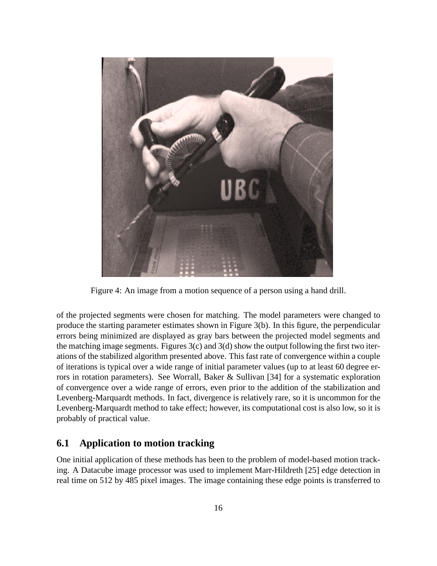

Figure 4: An image from a motion sequence of a person using a hand drill.

of the projected segments were chosen for matching. The model parameters were changed to produce the starting parameter estimates shown in Figure 3(b). In this figure, the perpendicular errors being minimized are displayed as gray bars between the projected model segments and the matching image segments. Figures  $3(c)$  and  $3(d)$  show the output following the first two iterations of the stabilized algorithm presented above. This fast rate of convergence within a couple of iterations is typical over a wide range of initial parameter values (up to at least 60 degree errors in rotation parameters). See Worrall, Baker & Sullivan [34] for a systematic exploration of convergence over a wide range of errors, even prior to the addition of the stabilization and Levenberg-Marquardt methods. In fact, divergence is relatively rare, so it is uncommon for the Levenberg-Marquardt method to take effect; however, its computational cost is also low, so it is probably of practical value.

### **6.1 Application to motion tracking**

One initial application of these methods has been to the problem of model-based motion tracking. A Datacube image processor was used to implement Marr-Hildreth [25] edge detection in real time on 512 by 485 pixel images. The image containing these edge points is transferred to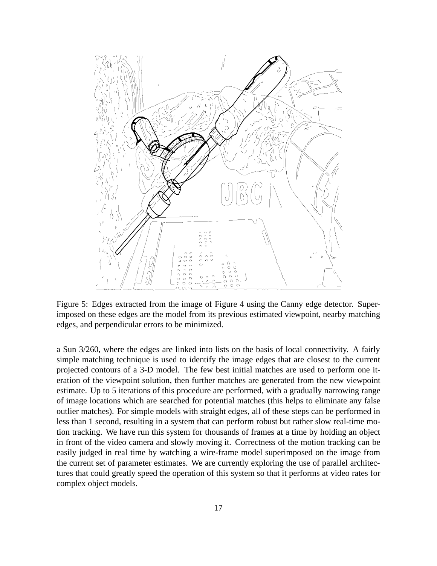

Figure 5: Edges extracted from the image of Figure 4 using the Canny edge detector. Superimposed on these edges are the model from its previous estimated viewpoint, nearby matching edges, and perpendicular errors to be minimized.

a Sun 3/260, where the edges are linked into lists on the basis of local connectivity. A fairly simple matching technique is used to identify the image edges that are closest to the current projected contours of a 3-D model. The few best initial matches are used to perform one iteration of the viewpoint solution, then further matches are generated from the new viewpoint estimate. Up to 5 iterations of this procedure are performed, with a gradually narrowing range of image locations which are searched for potential matches (this helps to eliminate any false outlier matches). For simple models with straight edges, all of these steps can be performed in less than 1 second, resulting in a system that can perform robust but rather slow real-time motion tracking. We have run this system for thousands of frames at a time by holding an object in front of the video camera and slowly moving it. Correctness of the motion tracking can be easily judged in real time by watching a wire-frame model superimposed on the image from the current set of parameter estimates. We are currently exploring the use of parallel architectures that could greatly speed the operation of this system so that it performs at video rates for complex object models.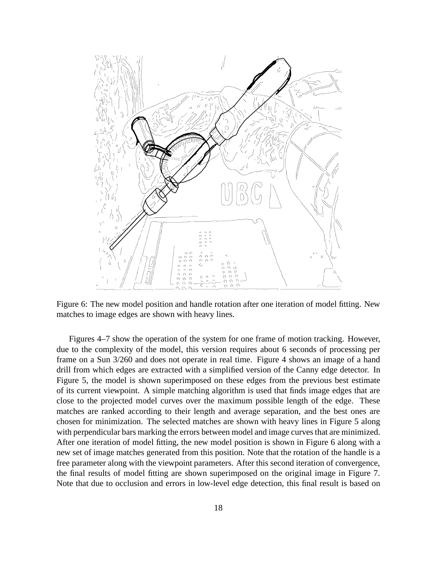

Figure 6: The new model position and handle rotation after one iteration of model fitting. New matches to image edges are shown with heavy lines.

Figures 4–7 show the operation of the system for one frame of motion tracking. However, due to the complexity of the model, this version requires about 6 seconds of processing per frame on a Sun 3/260 and does not operate in real time. Figure 4 shows an image of a hand drill from which edges are extracted with a simplified version of the Canny edge detector. In Figure 5, the model is shown superimposed on these edges from the previous best estimate of its current viewpoint. A simple matching algorithm is used that finds image edges that are close to the projected model curves over the maximum possible length of the edge. These matches are ranked according to their length and average separation, and the best ones are chosen for minimization. The selected matches are shown with heavy lines in Figure 5 along with perpendicular bars marking the errors between model and image curves that are minimized. After one iteration of model fitting, the new model position is shown in Figure 6 along with a new set of image matches generated from this position. Note that the rotation of the handle is a free parameter along with the viewpoint parameters. After this second iteration of convergence, the final results of model fitting are shown superimposed on the original image in Figure 7. Note that due to occlusion and errors in low-level edge detection, this final result is based on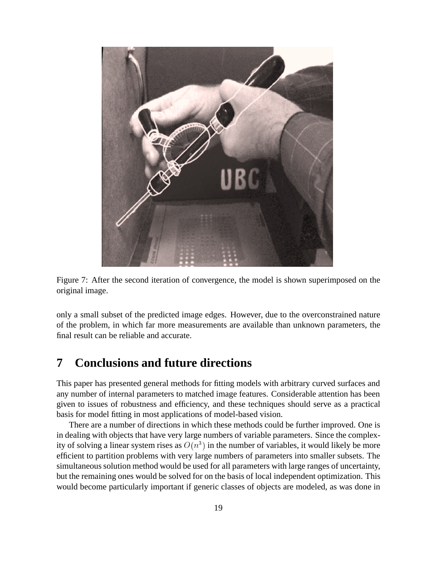



only a small subset of the predicted image edges. However, due to the overconstrained nature of the problem, in which far more measurements are available than unknown parameters, the final result can be reliable and accurate.

## **7 Conclusions and future directions**

This paper has presented general methods for fitting models with arbitrary curved surfaces and any number of internal parameters to matched image features. Considerable attention has been given to issues of robustness and efficiency, and these techniques should serve as a practical basis for model fitting in most applications of model-based vision.

There are a number of directions in which these methods could be further improved. One is in dealing with objects that have very large numbers of variable parameters. Since the complexity of solving a linear system rises as  $O(n^3)$  in the number of variables, it would likely be more efficient to partition problems with very large numbers of parameters into smaller subsets. The simultaneous solution method would be used for all parameters with large ranges of uncertainty, but the remaining ones would be solved for on the basis of local independent optimization. This would become particularly important if generic classes of objects are modeled, as was done in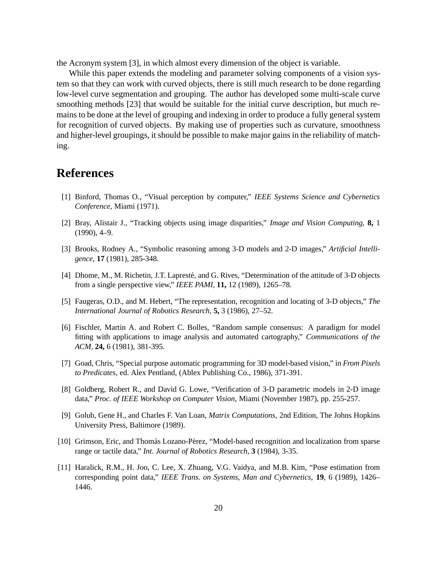the Acronym system [3], in which almost every dimension of the object is variable.

While this paper extends the modeling and parameter solving components of a vision system so that they can work with curved objects, there is still much research to be done regarding low-level curve segmentation and grouping. The author has developed some multi-scale curve smoothing methods [23] that would be suitable for the initial curve description, but much remains to be done at the level of grouping and indexing in order to produce a fully general system for recognition of curved objects. By making use of properties such as curvature, smoothness and higher-level groupings, it should be possible to make major gains in the reliability of matching.

## **References**

- [1] Binford, Thomas O., "Visual perception by computer," *IEEE Systems Science and Cybernetics Conference,* Miami (1971).
- [2] Bray, Alistair J., "Tracking objects using image disparities," *Image and Vision Computing,* **8,** 1 (1990), 4–9.
- [3] Brooks, Rodney A., "Symbolic reasoning among 3-D models and 2-D images," *Artificial Intelligence,* **17** (1981), 285-348.
- [4] Dhome, M., M. Richetin, J.T. Lapresté, and G. Rives, "Determination of the attitude of 3-D objects from a single perspective view," *IEEE PAMI,* **11,** 12 (1989), 1265–78.
- [5] Faugeras, O.D., and M. Hebert, "The representation, recognition and locating of 3-D objects," *The International Journal of Robotics Research,* **5,** 3 (1986), 27–52.
- [6] Fischler, Martin A. and Robert C. Bolles, "Random sample consensus: A paradigm for model fitting with applications to image analysis and automated cartography," *Communications of the ACM,* **24,** 6 (1981), 381-395.
- [7] Goad, Chris, "Special purpose automatic programming for 3D model-based vision," in *From Pixels to Predicates,* ed. Alex Pentland, (Ablex Publishing Co., 1986), 371-391.
- [8] Goldberg, Robert R., and David G. Lowe, "Verification of 3-D parametric models in 2-D image data," *Proc. of IEEE Workshop on Computer Vision,* Miami (November 1987), pp. 255-257.
- [9] Golub, Gene H., and Charles F. Van Loan, *Matrix Computations,* 2nd Edition, The Johns Hopkins University Press, Baltimore (1989).
- [10] Grimson, Eric, and Thomás Lozano-Pérez, "Model-based recognition and localization from sparse range or tactile data," *Int. Journal of Robotics Research,* **3** (1984), 3-35.
- [11] Haralick, R.M., H. Joo, C. Lee, X. Zhuang, V.G. Vaidya, and M.B. Kim, "Pose estimation from corresponding point data," *IEEE Trans. on Systems, Man and Cybernetics*, **19**, 6 (1989), 1426– 1446.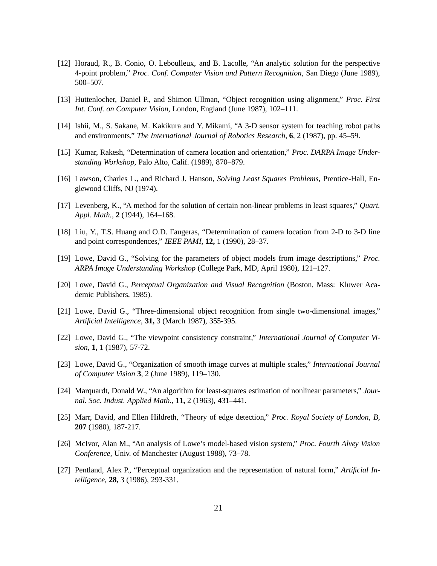- [12] Horaud, R., B. Conio, O. Leboulleux, and B. Lacolle, "An analytic solution for the perspective 4-point problem," *Proc. Conf. Computer Vision and Pattern Recognition,* San Diego (June 1989), 500–507.
- [13] Huttenlocher, Daniel P., and Shimon Ullman, "Object recognition using alignment," *Proc. First Int. Conf. on Computer Vision,* London, England (June 1987), 102–111.
- [14] Ishii, M., S. Sakane, M. Kakikura and Y. Mikami, "A 3-D sensor system for teaching robot paths and environments," *The International Journal of Robotics Research,* **6**, 2 (1987), pp. 45–59.
- [15] Kumar, Rakesh, "Determination of camera location and orientation," *Proc. DARPA Image Understanding Workshop,* Palo Alto, Calif. (1989), 870–879.
- [16] Lawson, Charles L., and Richard J. Hanson, *Solving Least Squares Problems,* Prentice-Hall, Englewood Cliffs, NJ (1974).
- [17] Levenberg, K., "A method for the solution of certain non-linear problems in least squares," *Quart. Appl. Math.,* **2** (1944), 164–168.
- [18] Liu, Y., T.S. Huang and O.D. Faugeras, "Determination of camera location from 2-D to 3-D line and point correspondences," *IEEE PAMI,* **12,** 1 (1990), 28–37.
- [19] Lowe, David G., "Solving for the parameters of object models from image descriptions," *Proc. ARPA Image Understanding Workshop* (College Park, MD, April 1980), 121–127.
- [20] Lowe, David G., *Perceptual Organization and Visual Recognition* (Boston, Mass: Kluwer Academic Publishers, 1985).
- [21] Lowe, David G., "Three-dimensional object recognition from single two-dimensional images," *Artificial Intelligence,* **31,** 3 (March 1987), 355-395.
- [22] Lowe, David G., "The viewpoint consistency constraint," *International Journal of Computer Vision,* **1,** 1 (1987), 57-72.
- [23] Lowe, David G., "Organization of smooth image curves at multiple scales," *International Journal of Computer Vision* **3**, 2 (June 1989), 119–130.
- [24] Marquardt, Donald W., "An algorithm for least-squares estimation of nonlinear parameters," *Journal. Soc. Indust. Applied Math.,* **11,** 2 (1963), 431–441.
- [25] Marr, David, and Ellen Hildreth, "Theory of edge detection," *Proc. Royal Society of London, B,* **207** (1980), 187-217.
- [26] McIvor, Alan M., "An analysis of Lowe's model-based vision system," *Proc. Fourth Alvey Vision Conference,* Univ. of Manchester (August 1988), 73–78.
- [27] Pentland, Alex P., "Perceptual organization and the representation of natural form," *Artificial Intelligence,* **28,** 3 (1986), 293-331.